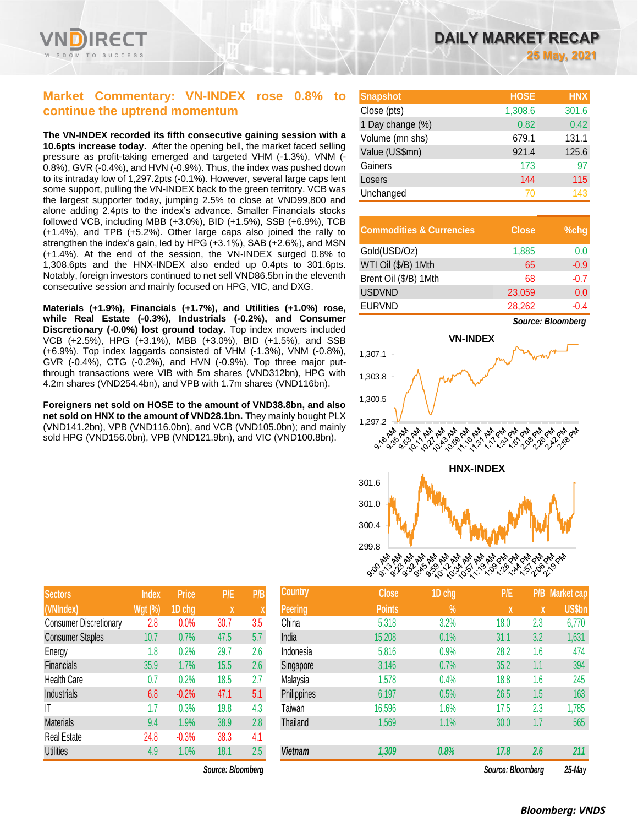

# **Market Commentary: VN-INDEX rose 0.8% to continue the uptrend momentum**

**The VN-INDEX recorded its fifth consecutive gaining session with a 10.6pts increase today.** After the opening bell, the market faced selling pressure as profit-taking emerged and targeted VHM (-1.3%), VNM (- 0.8%), GVR (-0.4%), and HVN (-0.9%). Thus, the index was pushed down to its intraday low of 1,297.2pts (-0.1%). However, several large caps lent some support, pulling the VN-INDEX back to the green territory. VCB was the largest supporter today, jumping 2.5% to close at VND99,800 and alone adding 2.4pts to the index's advance. Smaller Financials stocks followed VCB, including MBB (+3.0%), BID (+1.5%), SSB (+6.9%), TCB (+1.4%), and TPB (+5.2%). Other large caps also joined the rally to strengthen the index's gain, led by HPG (+3.1%), SAB (+2.6%), and MSN (+1.4%). At the end of the session, the VN-INDEX surged 0.8% to 1,308.6pts and the HNX-INDEX also ended up 0.4pts to 301.6pts. Notably, foreign investors continued to net sell VND86.5bn in the eleventh consecutive session and mainly focused on HPG, VIC, and DXG.

**Materials (+1.9%), Financials (+1.7%), and Utilities (+1.0%) rose, while Real Estate (-0.3%), Industrials (-0.2%), and Consumer Discretionary (-0.0%) lost ground today.** Top index movers included VCB (+2.5%), HPG (+3.1%), MBB (+3.0%), BID (+1.5%), and SSB (+6.9%). Top index laggards consisted of VHM (-1.3%), VNM (-0.8%), GVR (-0.4%), CTG (-0.2%), and HVN (-0.9%). Top three major putthrough transactions were VIB with 5m shares (VND312bn), HPG with 4.2m shares (VND254.4bn), and VPB with 1.7m shares (VND116bn).

**Foreigners net sold on HOSE to the amount of VND38.8bn, and also net sold on HNX to the amount of VND28.1bn.** They mainly bought PLX (VND141.2bn), VPB (VND116.0bn), and VCB (VND105.0bn); and mainly sold HPG (VND156.0bn), VPB (VND121.9bn), and VIC (VND100.8bn).

| DAILY MARKET RECAP |  |  |              |  |
|--------------------|--|--|--------------|--|
|                    |  |  | 25 May, 2021 |  |

| <b>Snapshot</b>  | <b>HOSE</b> | <b>HNX</b> |
|------------------|-------------|------------|
| Close (pts)      | 1,308.6     | 301.6      |
| 1 Day change (%) | 0.82        | 0.42       |
| Volume (mn shs)  | 679.1       | 131.1      |
| Value (US\$mn)   | 921.4       | 125.6      |
| Gainers          | 173         | 97         |
| Losers           | 144         | 115        |
| Unchanged        | 70          | 143        |

| <b>Commodities &amp; Currencies</b> | <b>Close</b> | $%$ chq |
|-------------------------------------|--------------|---------|
| Gold(USD/Oz)                        | 1,885        | 0.0     |
| WTI Oil (\$/B) 1Mth                 | 65           | $-0.9$  |
| Brent Oil (\$/B) 1Mth               | 68           | $-0.7$  |
| <b>USDVND</b>                       | 23,059       | 0.0     |
| <b>EURVND</b>                       | 28,262       | -0.4    |







| <b>Sectors</b>                | <b>Index</b> | <b>Price</b> | P/E  | P/B |
|-------------------------------|--------------|--------------|------|-----|
| (VNIndex)                     | Wgt (%)      | 1D chg       | X    | X   |
| <b>Consumer Discretionary</b> | 2.8          | 0.0%         | 30.7 | 3.5 |
| <b>Consumer Staples</b>       | 10.7         | 0.7%         | 47.5 | 5.7 |
| Energy                        | 1.8          | 0.2%         | 29.7 | 2.6 |
| Financials                    | 35.9         | 1.7%         | 15.5 | 2.6 |
| Health Care                   | 0.7          | 0.2%         | 18.5 | 2.7 |
| Industrials                   | 6.8          | $-0.2%$      | 47.1 | 5.1 |
| IT                            | 1.7          | 0.3%         | 19.8 | 4.3 |
| <b>Materials</b>              | 9.4          | 1.9%         | 38.9 | 2.8 |
| <b>Real Estate</b>            | 24.8         | $-0.3%$      | 38.3 | 4.1 |
| <b>Utilities</b>              | 4.9          | 1.0%         | 18.1 | 2.5 |

| <b>Sectors</b>                | <b>Index</b>   | <b>Price</b> | <b>P/E</b>        | P/B | <b>Country</b> | <b>Close</b>  | 1D chg        | <b>P/E</b>        | P/B | <b>Market cap</b> |
|-------------------------------|----------------|--------------|-------------------|-----|----------------|---------------|---------------|-------------------|-----|-------------------|
| (VNIndex)                     | <b>Wgt (%)</b> | 1D chg       | X                 |     | <b>Peering</b> | <b>Points</b> | $\frac{9}{6}$ | X                 | X   | <b>US\$bn</b>     |
| <b>Consumer Discretionary</b> | 2.8            | 0.0%         | 30.7              | 3.5 | China          | 5,318         | 3.2%          | 18.0              | 2.3 | 6,770             |
| <b>Consumer Staples</b>       | 10.7           | 0.7%         | 47.5              | 5.7 | India          | 15,208        | 0.1%          | 31.1              | 3.2 | 1,631             |
| Energy                        | 1.8            | 0.2%         | 29.7              | 2.6 | Indonesia      | 5,816         | 0.9%          | 28.2              | 1.6 | 474               |
| Financials                    | 35.9           | 1.7%         | 15.5              | 2.6 | Singapore      | 3,146         | 0.7%          | 35.2              | 1.1 | 394               |
| Health Care                   | 0.7            | 0.2%         | 18.5              | 2.7 | Malaysia       | 1,578         | 0.4%          | 18.8              | 1.6 | 245               |
| Industrials                   | 6.8            | $-0.2%$      | 47.1              | 5.1 | Philippines    | 6,197         | 0.5%          | 26.5              | 1.5 | 163               |
|                               | 1.7            | 0.3%         | 19.8              | 4.3 | Taiwan         | 16,596        | 1.6%          | 17.5              | 2.3 | ,785              |
| <b>Materials</b>              | 9.4            | 1.9%         | 38.9              | 2.8 | Thailand       | 1,569         | 1.1%          | 30.0              | 1.7 | 565               |
| Real Estate                   | 24.8           | $-0.3%$      | 38.3              | 4.1 |                |               |               |                   |     |                   |
| <b>Utilities</b>              | 4.9            | 1.0%         | 18.1              | 2.5 | <b>Vietnam</b> | 1,309         | 0.8%          | 17.8              | 2.6 | 211               |
|                               |                |              | Source: Bloomberg |     |                |               |               | Source: Bloomberg |     | $25$ -May         |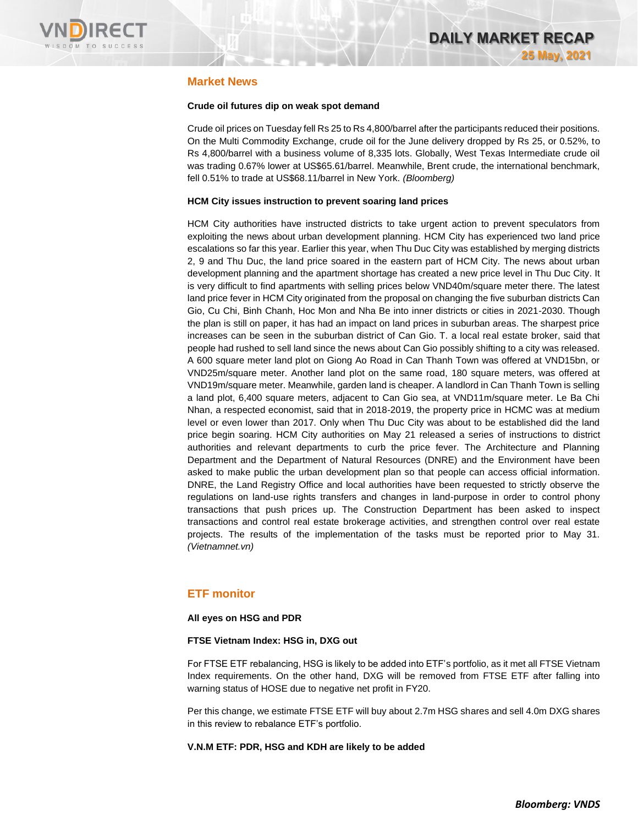

## **Market News**

### **Crude oil futures dip on weak spot demand**

Crude oil prices on Tuesday fell Rs 25 to Rs 4,800/barrel after the participants reduced their positions. On the Multi Commodity Exchange, crude oil for the June delivery dropped by Rs 25, or 0.52%, to Rs 4,800/barrel with a business volume of 8,335 lots. Globally, West Texas Intermediate crude oil was trading 0.67% lower at US\$65.61/barrel. Meanwhile, Brent crude, the international benchmark, fell 0.51% to trade at US\$68.11/barrel in New York. *(Bloomberg)*

### **HCM City issues instruction to prevent soaring land prices**

HCM City authorities have instructed districts to take urgent action to prevent speculators from exploiting the news about urban development planning. HCM City has experienced two land price escalations so far this year. Earlier this year, when Thu Duc City was established by merging districts 2, 9 and Thu Duc, the land price soared in the eastern part of HCM City. The news about urban development planning and the apartment shortage has created a new price level in Thu Duc City. It is very difficult to find apartments with selling prices below VND40m/square meter there. The latest land price fever in HCM City originated from the proposal on changing the five suburban districts Can Gio, Cu Chi, Binh Chanh, Hoc Mon and Nha Be into inner districts or cities in 2021-2030. Though the plan is still on paper, it has had an impact on land prices in suburban areas. The sharpest price increases can be seen in the suburban district of Can Gio. T. a local real estate broker, said that people had rushed to sell land since the news about Can Gio possibly shifting to a city was released. A 600 square meter land plot on Giong Ao Road in Can Thanh Town was offered at VND15bn, or VND25m/square meter. Another land plot on the same road, 180 square meters, was offered at VND19m/square meter. Meanwhile, garden land is cheaper. A landlord in Can Thanh Town is selling a land plot, 6,400 square meters, adjacent to Can Gio sea, at VND11m/square meter. Le Ba Chi Nhan, a respected economist, said that in 2018-2019, the property price in HCMC was at medium level or even lower than 2017. Only when Thu Duc City was about to be established did the land price begin soaring. HCM City authorities on May 21 released a series of instructions to district authorities and relevant departments to curb the price fever. The Architecture and Planning Department and the Department of Natural Resources (DNRE) and the Environment have been asked to make public the urban development plan so that people can access official information. DNRE, the Land Registry Office and local authorities have been requested to strictly observe the regulations on land-use rights transfers and changes in land-purpose in order to control phony transactions that push prices up. The Construction Department has been asked to inspect transactions and control real estate brokerage activities, and strengthen control over real estate projects. The results of the implementation of the tasks must be reported prior to May 31. *(Vietnamnet.vn)*

# **ETF monitor**

#### **All eyes on HSG and PDR**

#### **FTSE Vietnam Index: HSG in, DXG out**

For FTSE ETF rebalancing, HSG is likely to be added into ETF's portfolio, as it met all FTSE Vietnam Index requirements. On the other hand, DXG will be removed from FTSE ETF after falling into warning status of HOSE due to negative net profit in FY20.

Per this change, we estimate FTSE ETF will buy about 2.7m HSG shares and sell 4.0m DXG shares in this review to rebalance ETF's portfolio.

## **V.N.M ETF: PDR, HSG and KDH are likely to be added**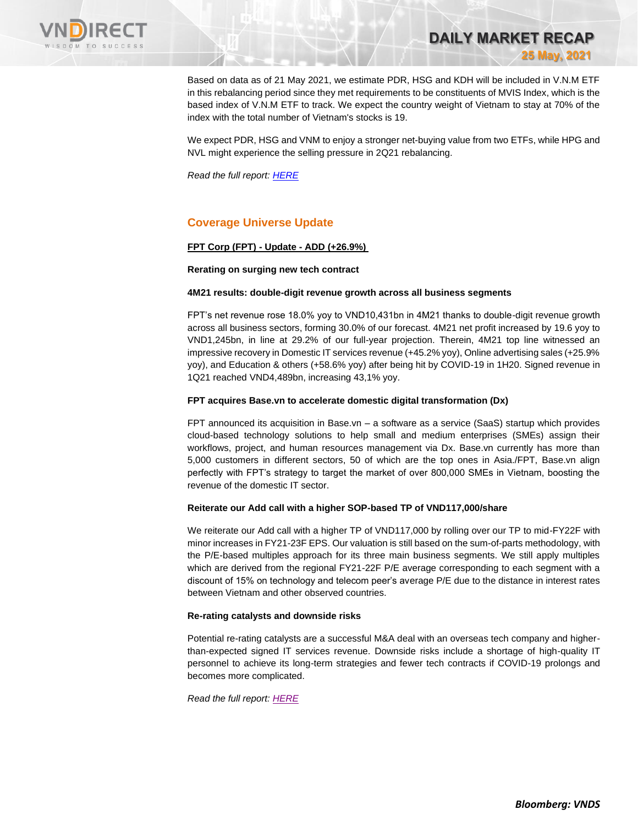

Based on data as of 21 May 2021, we estimate PDR, HSG and KDH will be included in V.N.M ETF in this rebalancing period since they met requirements to be constituents of MVIS Index, which is the based index of V.N.M ETF to track. We expect the country weight of Vietnam to stay at 70% of the index with the total number of Vietnam's stocks is 19.

**DAILY MARKET RECAP** 

**25 May, 2021**

We expect PDR, HSG and VNM to enjoy a stronger net-buying value from two ETFs, while HPG and NVL might experience the selling pressure in 2Q21 rebalancing.

*Read the full report[: HERE](https://nhanha-public-api.vndirect.com.vn/click/OGE0ODlmZDA3NTYyMzU3MDAxNzU2MmUzNWNiMzEyMTE=/NTA0NDY3ZjExYTc5NDY2MTlhMjUwZDZlNDEzMjkwZjI=/504467f11a7946619a250d6e413290f2-ETFMonitor_2Q21_20210525.pdf/cmVzZWFyY2hAdm5kaXJlY3QuY29tLnZu/MzExOTM=)*

## **Coverage Universe Update**

#### **FPT Corp (FPT) - Update - ADD (+26.9%)**

### **Rerating on surging new tech contract**

#### **4M21 results: double-digit revenue growth across all business segments**

FPT's net revenue rose 18.0% yoy to VND10,431bn in 4M21 thanks to double-digit revenue growth across all business sectors, forming 30.0% of our forecast. 4M21 net profit increased by 19.6 yoy to VND1,245bn, in line at 29.2% of our full-year projection. Therein, 4M21 top line witnessed an impressive recovery in Domestic IT services revenue (+45.2% yoy), Online advertising sales (+25.9% yoy), and Education & others (+58.6% yoy) after being hit by COVID-19 in 1H20. Signed revenue in 1Q21 reached VND4,489bn, increasing 43,1% yoy.

#### **FPT acquires Base.vn to accelerate domestic digital transformation (Dx)**

FPT announced its acquisition in Base.vn – a software as a service (SaaS) startup which provides cloud-based technology solutions to help small and medium enterprises (SMEs) assign their workflows, project, and human resources management via Dx. Base.vn currently has more than 5,000 customers in different sectors, 50 of which are the top ones in Asia./FPT, Base.vn align perfectly with FPT's strategy to target the market of over 800,000 SMEs in Vietnam, boosting the revenue of the domestic IT sector.

## **Reiterate our Add call with a higher SOP-based TP of VND117,000/share**

We reiterate our Add call with a higher TP of VND117,000 by rolling over our TP to mid-FY22F with minor increases in FY21-23F EPS. Our valuation is still based on the sum-of-parts methodology, with the P/E-based multiples approach for its three main business segments. We still apply multiples which are derived from the regional FY21-22F P/E average corresponding to each segment with a discount of 15% on technology and telecom peer's average P/E due to the distance in interest rates between Vietnam and other observed countries.

#### **Re-rating catalysts and downside risks**

Potential re-rating catalysts are a successful M&A deal with an overseas tech company and higherthan-expected signed IT services revenue. Downside risks include a shortage of high-quality IT personnel to achieve its long-term strategies and fewer tech contracts if COVID-19 prolongs and becomes more complicated.

*Read the full report[: HERE](https://apc01.safelinks.protection.outlook.com/?url=https%3A%2F%2Fv43o.trk.elasticemail.com%2Ftracking%2Fclick%3Fd%3D62sPyXieZYX6mGV3RunXFCgSe-15p1j2xjbnOJ2Ym3tdVX6P8EFgCFeK7un02NY5rPq5hYeaXpKjCp85uKCr1Qjv77NF_RPkOWGx5gXJLydeWXxF4oM3rCevSsLiM5DPu0U9jiZqu0uo4iXj85h08tE_59B9AQsFNeJokajuNg9Ue2w022kl-NalbfgId9_KHfhOEiJg1gMSpNpv6EX9vmw9ZvbeAaKCmQsZxg9PqIg19aNqpybKlqLxSr7GtIakzSZhssld5bYPXg5FSqFANYOKpLqLfhg5Qvh9m6IDfRTxdkDqOzkCJhhhOFLT-sh57x44kKYnxv4Oz-4gt2hvKUowJu0n0G45ip5IdaqxdpzpFU2v8ZsGpaqCaob_A0flWdExDi8YKg2XpcIvWsEHlrr0C_DlqH4ZReYQhaNW5MiF0&data=04%7C01%7Chien.hathu%40vndirect.com.vn%7C3e05e91159394cffd31f08d91f48b364%7C205877dd7b5242a0869607cbd63de0f4%7C0%7C0%7C637575219423054831%7CUnknown%7CTWFpbGZsb3d8eyJWIjoiMC4wLjAwMDAiLCJQIjoiV2luMzIiLCJBTiI6Ik1haWwiLCJXVCI6Mn0%3D%7C1000&sdata=y1Lrbgjtdx0fuMP2mjwpi6Jiq9IVYCRWPP6ctu2YrNo%3D&reserved=0)*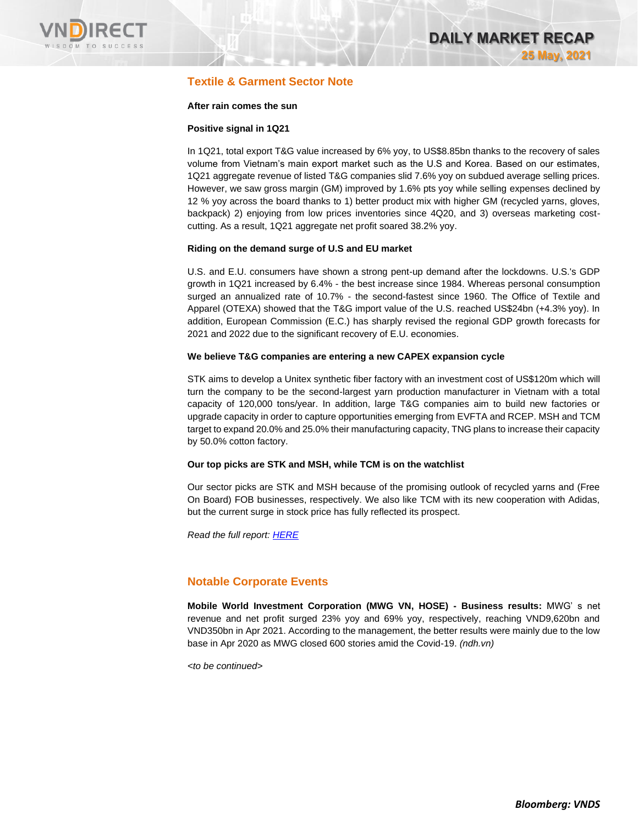

# **Textile & Garment Sector Note**

## **After rain comes the sun**

## **Positive signal in 1Q21**

In 1Q21, total export T&G value increased by 6% yoy, to US\$8.85bn thanks to the recovery of sales volume from Vietnam's main export market such as the U.S and Korea. Based on our estimates, 1Q21 aggregate revenue of listed T&G companies slid 7.6% yoy on subdued average selling prices. However, we saw gross margin (GM) improved by 1.6% pts yoy while selling expenses declined by 12 % yoy across the board thanks to 1) better product mix with higher GM (recycled yarns, gloves, backpack) 2) enjoying from low prices inventories since 4Q20, and 3) overseas marketing costcutting. As a result, 1Q21 aggregate net profit soared 38.2% yoy.

## **Riding on the demand surge of U.S and EU market**

U.S. and E.U. consumers have shown a strong pent-up demand after the lockdowns. U.S.'s GDP growth in 1Q21 increased by 6.4% - the best increase since 1984. Whereas personal consumption surged an annualized rate of 10.7% - the second-fastest since 1960. The Office of Textile and Apparel (OTEXA) showed that the T&G import value of the U.S. reached US\$24bn (+4.3% yoy). In addition, European Commission (E.C.) has sharply revised the regional GDP growth forecasts for 2021 and 2022 due to the significant recovery of E.U. economies.

## **We believe T&G companies are entering a new CAPEX expansion cycle**

STK aims to develop a Unitex synthetic fiber factory with an investment cost of US\$120m which will turn the company to be the second-largest yarn production manufacturer in Vietnam with a total capacity of 120,000 tons/year. In addition, large T&G companies aim to build new factories or upgrade capacity in order to capture opportunities emerging from EVFTA and RCEP. MSH and TCM target to expand 20.0% and 25.0% their manufacturing capacity, TNG plans to increase their capacity by 50.0% cotton factory.

## **Our top picks are STK and MSH, while TCM is on the watchlist**

Our sector picks are STK and MSH because of the promising outlook of recycled yarns and (Free On Board) FOB businesses, respectively. We also like TCM with its new cooperation with Adidas, but the current surge in stock price has fully reflected its prospect.

*Read the full report[: HERE](https://nhanha-public-api.vndirect.com.vn/click/OGE0ODlmZDA3MDFjZjM0OTAxNzAxZWQ4OTRkZjAwMDk=/N2ZmOWVkYTEyYzY4NGViODg3MzA2MDZmZjU0ZDhhNDY=/7ff9eda12c684eb88730606ff54d8a46-Textile_SectorNote_1Q21_20210225.pdf/cmVzZWFyY2hAdm5kaXJlY3QuY29tLnZu/MzEyMDE=)*

# **Notable Corporate Events**

**Mobile World Investment Corporation (MWG VN, HOSE) - Business results:** MWG' s net revenue and net profit surged 23% yoy and 69% yoy, respectively, reaching VND9,620bn and VND350bn in Apr 2021. According to the management, the better results were mainly due to the low base in Apr 2020 as MWG closed 600 stories amid the Covid-19. *(ndh.vn)*

*<to be continued>*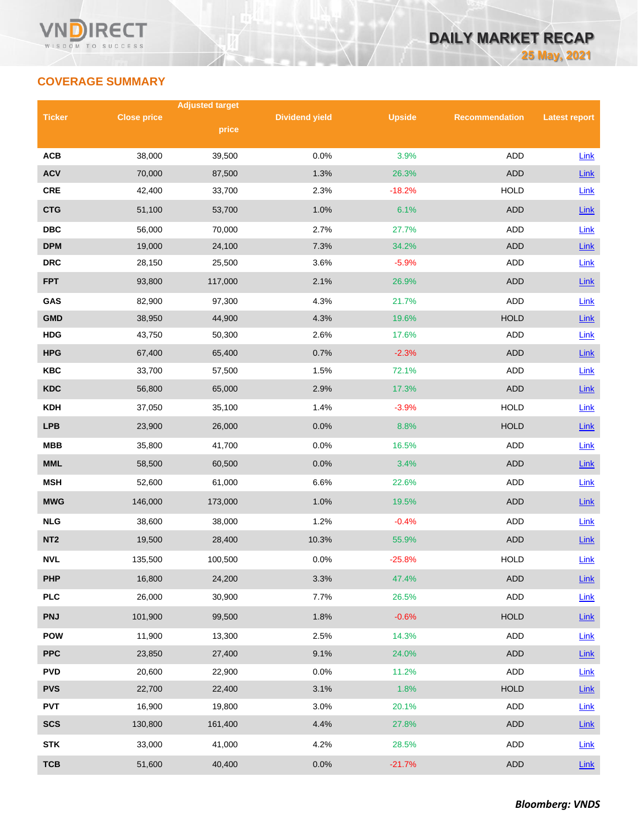# **COVERAGE SUMMARY**

|                 |                    | <b>Adjusted target</b> |                       |               |                       |                      |
|-----------------|--------------------|------------------------|-----------------------|---------------|-----------------------|----------------------|
| <b>Ticker</b>   | <b>Close price</b> | price                  | <b>Dividend yield</b> | <b>Upside</b> | <b>Recommendation</b> | <b>Latest report</b> |
|                 |                    |                        |                       |               |                       |                      |
| <b>ACB</b>      | 38,000             | 39,500                 | 0.0%                  | 3.9%          | <b>ADD</b>            | Link                 |
| <b>ACV</b>      | 70,000             | 87,500                 | 1.3%                  | 26.3%         | <b>ADD</b>            | $Link$               |
| <b>CRE</b>      | 42,400             | 33,700                 | 2.3%                  | $-18.2%$      | <b>HOLD</b>           | Link                 |
| <b>CTG</b>      | 51,100             | 53,700                 | 1.0%                  | 6.1%          | <b>ADD</b>            | Link                 |
| <b>DBC</b>      | 56,000             | 70,000                 | 2.7%                  | 27.7%         | ADD                   | Link                 |
| <b>DPM</b>      | 19,000             | 24,100                 | 7.3%                  | 34.2%         | <b>ADD</b>            | Link                 |
| <b>DRC</b>      | 28,150             | 25,500                 | 3.6%                  | $-5.9%$       | <b>ADD</b>            | Link                 |
| <b>FPT</b>      | 93,800             | 117,000                | 2.1%                  | 26.9%         | <b>ADD</b>            | Link                 |
| GAS             | 82,900             | 97,300                 | 4.3%                  | 21.7%         | <b>ADD</b>            | Link                 |
| <b>GMD</b>      | 38,950             | 44,900                 | 4.3%                  | 19.6%         | <b>HOLD</b>           | Link                 |
| <b>HDG</b>      | 43,750             | 50,300                 | 2.6%                  | 17.6%         | ADD                   | Link                 |
| <b>HPG</b>      | 67,400             | 65,400                 | 0.7%                  | $-2.3%$       | <b>ADD</b>            | Link                 |
| <b>KBC</b>      | 33,700             | 57,500                 | 1.5%                  | 72.1%         | ADD                   | Link                 |
| <b>KDC</b>      | 56,800             | 65,000                 | 2.9%                  | 17.3%         | <b>ADD</b>            | Link                 |
| <b>KDH</b>      | 37,050             | 35,100                 | 1.4%                  | $-3.9%$       | <b>HOLD</b>           | Link                 |
| <b>LPB</b>      | 23,900             | 26,000                 | 0.0%                  | 8.8%          | <b>HOLD</b>           | Link                 |
| <b>MBB</b>      | 35,800             | 41,700                 | 0.0%                  | 16.5%         | ADD                   | Link                 |
| <b>MML</b>      | 58,500             | 60,500                 | 0.0%                  | 3.4%          | <b>ADD</b>            | Link                 |
| <b>MSH</b>      | 52,600             | 61,000                 | 6.6%                  | 22.6%         | ADD                   | Link                 |
| <b>MWG</b>      | 146,000            | 173,000                | 1.0%                  | 19.5%         | <b>ADD</b>            | Link                 |
| <b>NLG</b>      | 38,600             | 38,000                 | 1.2%                  | $-0.4%$       | ADD                   | Link                 |
| NT <sub>2</sub> | 19,500             | 28,400                 | 10.3%                 | 55.9%         | <b>ADD</b>            | Link                 |
| <b>NVL</b>      | 135,500            | 100,500                | 0.0%                  | $-25.8%$      | <b>HOLD</b>           | Link                 |
| <b>PHP</b>      | 16,800             | 24,200                 | 3.3%                  | 47.4%         | <b>ADD</b>            | $Link$               |
| <b>PLC</b>      | 26,000             | 30,900                 | 7.7%                  | 26.5%         | ADD                   | Link                 |
| <b>PNJ</b>      | 101,900            | 99,500                 | 1.8%                  | $-0.6%$       | <b>HOLD</b>           | $Link$               |
| <b>POW</b>      | 11,900             | 13,300                 | 2.5%                  | 14.3%         | ADD                   | Link                 |
| <b>PPC</b>      | 23,850             | 27,400                 | 9.1%                  | 24.0%         | <b>ADD</b>            | Link                 |
| <b>PVD</b>      | 20,600             | 22,900                 | 0.0%                  | 11.2%         | ADD                   | Link                 |
| <b>PVS</b>      | 22,700             | 22,400                 | 3.1%                  | 1.8%          | <b>HOLD</b>           | $Link$               |
| <b>PVT</b>      | 16,900             | 19,800                 | 3.0%                  | 20.1%         | ADD                   | Link                 |
| <b>SCS</b>      | 130,800            | 161,400                | 4.4%                  | 27.8%         | <b>ADD</b>            | $Link$               |
| <b>STK</b>      | 33,000             | 41,000                 | 4.2%                  | 28.5%         | ADD                   | Link                 |
| <b>TCB</b>      | 51,600             | 40,400                 | 0.0%                  | $-21.7%$      | <b>ADD</b>            | Link                 |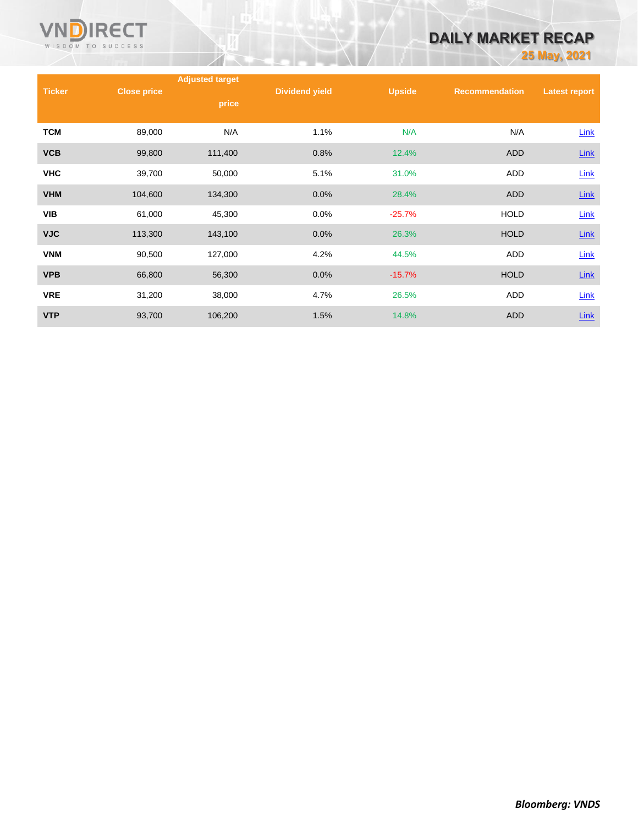

# **DAILY MARKET RECAP**

**25 May, 2021**

|               |                    | <b>Adjusted target</b> |                       |               |                       |                      |  |
|---------------|--------------------|------------------------|-----------------------|---------------|-----------------------|----------------------|--|
| <b>Ticker</b> | <b>Close price</b> | price                  | <b>Dividend yield</b> | <b>Upside</b> | <b>Recommendation</b> | <b>Latest report</b> |  |
| <b>TCM</b>    | 89,000             | N/A                    | 1.1%                  | N/A           | N/A                   | Link                 |  |
| <b>VCB</b>    | 99,800             | 111,400                | 0.8%                  | 12.4%         | <b>ADD</b>            | Link                 |  |
| <b>VHC</b>    | 39,700             | 50,000                 | 5.1%                  | 31.0%         | ADD                   | Link                 |  |
| <b>VHM</b>    | 104,600            | 134,300                | 0.0%                  | 28.4%         | <b>ADD</b>            | $Link$               |  |
| <b>VIB</b>    | 61,000             | 45,300                 | $0.0\%$               | $-25.7%$      | <b>HOLD</b>           | Link                 |  |
| <b>VJC</b>    | 113,300            | 143,100                | 0.0%                  | 26.3%         | <b>HOLD</b>           | $Link$               |  |
| <b>VNM</b>    | 90,500             | 127,000                | 4.2%                  | 44.5%         | ADD                   | Link                 |  |
| <b>VPB</b>    | 66,800             | 56,300                 | 0.0%                  | $-15.7%$      | <b>HOLD</b>           | <b>Link</b>          |  |
| <b>VRE</b>    | 31,200             | 38,000                 | 4.7%                  | 26.5%         | <b>ADD</b>            | Link                 |  |
| <b>VTP</b>    | 93,700             | 106,200                | 1.5%                  | 14.8%         | <b>ADD</b>            | Link                 |  |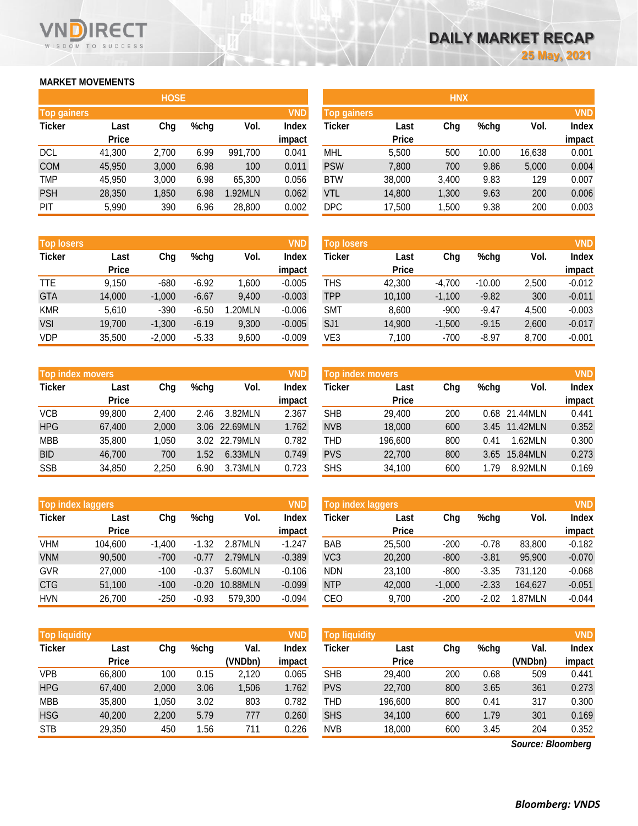# **MARKET MOVEMENTS**

WISDOM TO SUCCESS

**RECT** 

|                    | <b>HOSE</b>  |       |      |         |              |  |  |  |  |  |
|--------------------|--------------|-------|------|---------|--------------|--|--|--|--|--|
| <b>Top gainers</b> |              |       |      |         | <b>VND</b>   |  |  |  |  |  |
| <b>Ticker</b>      | Last         | Chg   | %chg | Vol.    | <b>Index</b> |  |  |  |  |  |
|                    | <b>Price</b> |       |      |         | impact       |  |  |  |  |  |
| <b>DCL</b>         | 41,300       | 2,700 | 6.99 | 991,700 | 0.041        |  |  |  |  |  |
| <b>COM</b>         | 45,950       | 3,000 | 6.98 | 100     | 0.011        |  |  |  |  |  |
| <b>TMP</b>         | 45,950       | 3,000 | 6.98 | 65,300  | 0.056        |  |  |  |  |  |
| <b>PSH</b>         | 28,350       | 1,850 | 6.98 | 1.92MLN | 0.062        |  |  |  |  |  |
| PIT                | 5,990        | 390   | 6.96 | 28,800  | 0.002        |  |  |  |  |  |

| <b>Top losers</b>     |              |          |         |         | <b>VND</b>   |
|-----------------------|--------------|----------|---------|---------|--------------|
| <b>Ticker</b><br>Last |              | Chg      | $%$ chg | Vol.    | <b>Index</b> |
|                       | <b>Price</b> |          |         |         | impact       |
| <b>TTE</b>            | 9,150        | $-680$   | $-6.92$ | 1,600   | $-0.005$     |
| <b>GTA</b>            | 14,000       | $-1,000$ | $-6.67$ | 9,400   | $-0.003$     |
| <b>KMR</b>            | 5,610        | $-390$   | $-6.50$ | 1.20MLN | $-0.006$     |
| <b>VSI</b>            | 19,700       | $-1,300$ | $-6.19$ | 9,300   | $-0.005$     |
| <b>VDP</b>            | 35,500       | $-2,000$ | $-5.33$ | 9,600   | $-0.009$     |

| <b>Top index movers</b> |              |       |         |               |              |  |  |  |
|-------------------------|--------------|-------|---------|---------------|--------------|--|--|--|
| <b>Ticker</b>           | Last         | Cha   | $%$ chg | Vol.          | <b>Index</b> |  |  |  |
|                         | <b>Price</b> |       |         |               | impact       |  |  |  |
| <b>VCB</b>              | 99,800       | 2,400 | 2.46    | 3.82MLN       | 2.367        |  |  |  |
| <b>HPG</b>              | 67,400       | 2,000 | 3.06    | 22.69MLN      | 1.762        |  |  |  |
| <b>MBB</b>              | 35,800       | 1,050 |         | 3.02 22.79MLN | 0.782        |  |  |  |
| <b>BID</b>              | 46,700       | 700   | 1.52    | 6.33MLN       | 0.749        |  |  |  |
| <b>SSB</b>              | 34,850       | 2,250 | 6.90    | 3.73MLN       | 0.723        |  |  |  |

| <b>VND</b><br><b>Top index laggers</b> |              |          |         |          |              |  |  |  |
|----------------------------------------|--------------|----------|---------|----------|--------------|--|--|--|
| <b>Ticker</b>                          | Last         | Cha      | $%$ chg | Vol.     | <b>Index</b> |  |  |  |
|                                        | <b>Price</b> |          |         |          | impact       |  |  |  |
| <b>VHM</b>                             | 104.600      | $-1,400$ | $-1.32$ | 2.87MLN  | $-1.247$     |  |  |  |
| <b>VNM</b>                             | 90,500       | $-700$   | $-0.77$ | 2.79MLN  | $-0.389$     |  |  |  |
| <b>GVR</b>                             | 27,000       | $-100$   | $-0.37$ | 5.60MLN  | $-0.106$     |  |  |  |
| <b>CTG</b>                             | 51,100       | $-100$   | $-0.20$ | 10.88MLN | $-0.099$     |  |  |  |
| <b>HVN</b>                             | 26,700       | $-250$   | $-0.93$ | 579,300  | $-0.094$     |  |  |  |

|               | <b>VND</b><br>Top liquidity |       |         |                  |                 |            | <b>Top liquidity</b> |     |      |                 | <b>VND</b>      |
|---------------|-----------------------------|-------|---------|------------------|-----------------|------------|----------------------|-----|------|-----------------|-----------------|
| <b>Ticker</b> | Last<br><b>Price</b>        | Chg   | $%$ chg | Val.             | Index           | Ticker     | Last<br><b>Price</b> | Chg | %chg | Val.<br>(VNDbn) | <b>Index</b>    |
| <b>VPB</b>    | 66.800                      | 100   | 0.15    | (VNDbn)<br>2.120 | impact<br>0.065 | <b>SHB</b> | 29.400               | 200 | 0.68 | 509             | impact<br>0.441 |
| <b>HPG</b>    | 67,400                      | 2,000 | 3.06    | 1,506            | 1.762           | <b>PVS</b> | 22,700               | 800 | 3.65 | 361             | 0.273           |
| <b>MBB</b>    | 35,800                      | 1.050 | 3.02    | 803              | 0.782           | THD        | 196.600              | 800 | 0.41 | 317             | 0.300           |
| <b>HSG</b>    | 40,200                      | 2,200 | 5.79    | 777              | 0.260           | <b>SHS</b> | 34,100               | 600 | 1.79 | 301             | 0.169           |
| <b>STB</b>    | 29,350                      | 450   | .56     | 711              | 0.226           | <b>NVB</b> | 18.000               | 600 | 3.45 | 204             | 0.352           |

*Source: Bloomberg*

|                    |              | <b>HOSE</b> |      |         |            |             |              | <b>HNX</b> |       |        |            |
|--------------------|--------------|-------------|------|---------|------------|-------------|--------------|------------|-------|--------|------------|
| <b>Top gainers</b> |              |             |      |         | <b>VND</b> | Top gainers |              |            |       |        | <b>VND</b> |
| Ticker             | Last         | Chg         | %chg | Vol.    | Index      | Ticker      | Last         | Chg        | %chg  | Vol.   | Index      |
|                    | <b>Price</b> |             |      |         | impact     |             | <b>Price</b> |            |       |        | impact     |
| DCL                | 41,300       | 2,700       | 6.99 | 991,700 | 0.041      | <b>MHL</b>  | 5,500        | 500        | 10.00 | 16,638 | 0.001      |
| COM                | 45,950       | 3,000       | 6.98 | 100     | 0.011      | <b>PSW</b>  | 7,800        | 700        | 9.86  | 5,000  | 0.004      |
| TMP                | 45,950       | 3,000       | 6.98 | 65,300  | 0.056      | <b>BTW</b>  | 38,000       | 3,400      | 9.83  | 129    | 0.007      |
| <b>PSH</b>         | 28,350       | 1,850       | 6.98 | 1.92MLN | 0.062      | <b>VTL</b>  | 14,800       | 1,300      | 9.63  | 200    | 0.006      |
| PIT                | 5,990        | 390         | 6.96 | 28,800  | 0.002      | <b>DPC</b>  | 17,500       | 1,500      | 9.38  | 200    | 0.003      |
|                    |              |             |      |         |            |             |              |            |       |        |            |

| <b>Top losers</b> |              |          |         |        | VND          | <b>Top losers</b> |              |          |          |       | <b>VND</b> |
|-------------------|--------------|----------|---------|--------|--------------|-------------------|--------------|----------|----------|-------|------------|
| Ticker            | Last         | Chg      | %chg    | Vol.   | <b>Index</b> | Ticker            | Last         | Chg      | $%$ chg  | Vol.  | Index      |
|                   | <b>Price</b> |          |         |        | impact       |                   | <b>Price</b> |          |          |       | impact     |
| TTE               | 9.150        | $-680$   | $-6.92$ | 600, ا | $-0.005$     | THS               | 42,300       | $-4,700$ | $-10.00$ | 2,500 | $-0.012$   |
| <b>GTA</b>        | 14,000       | $-1,000$ | $-6.67$ | 9.400  | $-0.003$     | TPP               | 10,100       | $-1.100$ | $-9.82$  | 300   | $-0.011$   |
| kmr               | 5.610        | $-390$   | $-6.50$ | .20MLN | $-0.006$     | <b>SMT</b>        | 8.600        | $-900$   | $-9.47$  | 4.500 | $-0.003$   |
| <b>VSI</b>        | 19,700       | $-1,300$ | $-6.19$ | 9,300  | $-0.005$     | SJ <sub>1</sub>   | 14,900       | $-1,500$ | $-9.15$  | 2,600 | $-0.017$   |
| <b>VDP</b>        | 35,500       | $-2,000$ | $-5.33$ | 9,600  | $-0.009$     | VE3               | 7,100        | $-700$   | $-8.97$  | 8.700 | $-0.001$   |

|            | <b>VND</b><br><b>Top index movers</b> |       |         |               |              |            | <b>VND</b><br><b>Top index movers</b> |     |         |               |              |  |  |
|------------|---------------------------------------|-------|---------|---------------|--------------|------------|---------------------------------------|-----|---------|---------------|--------------|--|--|
| Ticker     | Last                                  | Chg   | $%$ chg | Vol.          | <b>Index</b> | Ticker     | Last                                  | Chg | $%$ chg | Vol.          | <b>Index</b> |  |  |
|            | <b>Price</b>                          |       |         |               | impact       |            | <b>Price</b>                          |     |         |               | impact       |  |  |
| VCB        | 99,800                                | 2.400 | 2.46    | 3.82MLN       | 2.367        | <b>SHB</b> | 29.400                                | 200 |         | 0.68 21.44MLN | 0.441        |  |  |
| <b>HPG</b> | 67,400                                | 2,000 |         | 3.06 22.69MLN | 1.762        | <b>NVB</b> | 18,000                                | 600 |         | 3.45 11.42MLN | 0.352        |  |  |
| MBB        | 35,800                                | 1.050 |         | 3.02 22.79MLN | 0.782        | THD        | 196.600                               | 800 | 0.41    | 1.62MLN       | 0.300        |  |  |
| <b>BID</b> | 46,700                                | 700   | 1.52    | 6.33MLN       | 0.749        | <b>PVS</b> | 22,700                                | 800 | 3.65    | 15.84MLN      | 0.273        |  |  |
| SSB        | 34,850                                | 2.250 | 6.90    | 3.73MLN       | 0.723        | <b>SHS</b> | 34,100                                | 600 | 1.79    | 8.92MLN       | 0.169        |  |  |
|            |                                       |       |         |               |              |            |                                       |     |         |               |              |  |  |

| VND<br>Top index laggers |                      |          |         |          |                        | <b>VND</b><br>Top index laggers |                      |          |         |         |                 |  |
|--------------------------|----------------------|----------|---------|----------|------------------------|---------------------------------|----------------------|----------|---------|---------|-----------------|--|
| Ticker                   | Last<br><b>Price</b> | Chg      | $%$ chg | Vol.     | <b>Index</b><br>impact | Ticker                          | Last<br><b>Price</b> | Chg      | $%$ chg | Vol.    | Index<br>impact |  |
| VHM                      | 104.600              | $-1.400$ | $-1.32$ | 2.87MLN  | $-1.247$               | <b>BAB</b>                      | 25.500               | $-200$   | $-0.78$ | 83.800  | $-0.182$        |  |
| VNM                      | 90,500               | $-700$   | $-0.77$ | 2.79MLN  | $-0.389$               | VC <sub>3</sub>                 | 20,200               | $-800$   | $-3.81$ | 95.900  | $-0.070$        |  |
| GVR                      | 27,000               | $-100$   | $-0.37$ | 5.60MLN  | $-0.106$               | <b>NDN</b>                      | 23.100               | -800     | $-3.35$ | 731.120 | $-0.068$        |  |
| <b>CTG</b>               | 51.100               | $-100$   | $-0.20$ | 10.88MLN | $-0.099$               | <b>NTP</b>                      | 42,000               | $-1.000$ | $-2.33$ | 164.627 | $-0.051$        |  |
| HVN                      | 26.700               | $-250$   | $-0.93$ | 579.300  | $-0.094$               | CEO                             | 9.700                | $-200$   | $-2.02$ | 1.87MLN | $-0.044$        |  |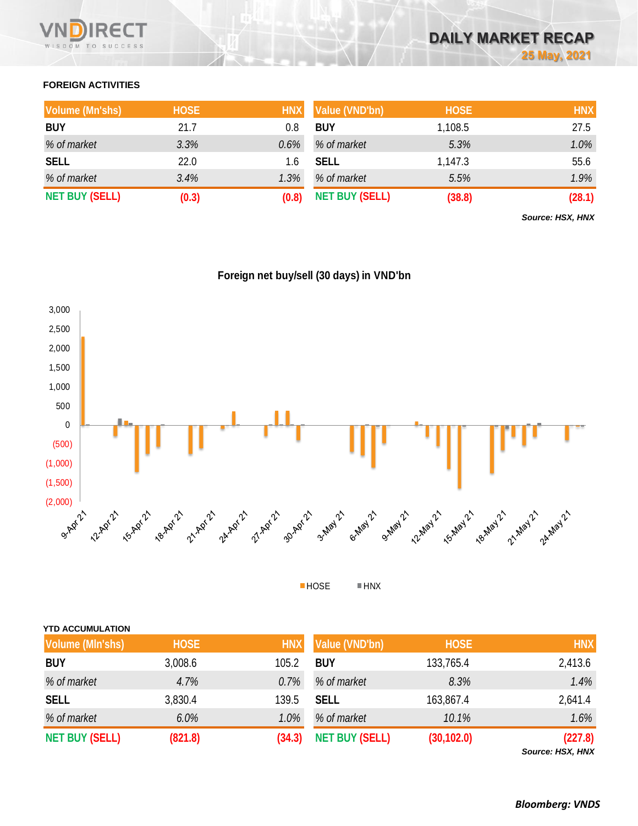

# **FOREIGN ACTIVITIES**

| <b>Volume (Mn'shs)</b> | <b>HOSE</b> | <b>HNX</b> | Value (VND'bn)        | <b>HOSE</b> | <b>HNX</b> |
|------------------------|-------------|------------|-----------------------|-------------|------------|
| <b>BUY</b>             | 21.7        | 0.8        | <b>BUY</b>            | 1,108.5     | 27.5       |
| % of market            | 3.3%        | 0.6%       | % of market           | 5.3%        | 1.0%       |
| <b>SELL</b>            | 22.0        | 1.6        | <b>SELL</b>           | 1,147.3     | 55.6       |
| % of market            | 3.4%        | 1.3%       | % of market           | 5.5%        | 1.9%       |
| <b>NET BUY (SELL)</b>  | (0.3)       | (0.8)      | <b>NET BUY (SELL)</b> | (38.8)      | (28.1)     |

*Source: HSX, HNX*





HOSE HNX

| <b>YTD ACCUMULATION</b> |             |            |                       |             |            |
|-------------------------|-------------|------------|-----------------------|-------------|------------|
| <b>Volume (MIn'shs)</b> | <b>HOSE</b> | <b>HNX</b> | <b>Value (VND'bn)</b> | <b>HOSE</b> | <b>HNX</b> |
| <b>BUY</b>              | 3,008.6     | 105.2      | <b>BUY</b>            | 133,765.4   | 2,413.6    |
| % of market             | 4.7%        | 0.7%       | % of market           | 8.3%        | 1.4%       |
| <b>SELL</b>             | 3,830.4     | 139.5      | <b>SELL</b>           | 163,867.4   | 2,641.4    |
| % of market             | 6.0%        | $1.0\%$    | % of market           | 10.1%       | 1.6%       |
| <b>NET BUY (SELL)</b>   | (821.8)     | (34.3)     | <b>NET BUY (SELL)</b> | (30, 102.0) | (227.8)    |

*Source: HSX, HNX*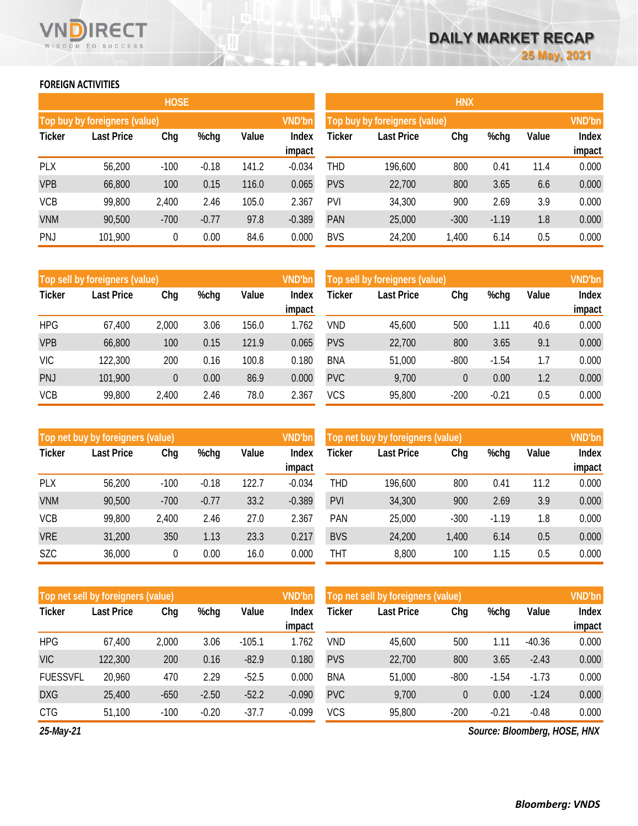# **FOREIGN ACTIVITIES**

WISDOM TO SUCCESS

**RECT** 

|               |                               | <b>HOSE</b> |         |       |                        | <b>HNX</b>                           |                   |        |         |       |                 |  |
|---------------|-------------------------------|-------------|---------|-------|------------------------|--------------------------------------|-------------------|--------|---------|-------|-----------------|--|
|               | Top buy by foreigners (value) |             |         |       | <b>VND'bn</b>          | <b>Top buy by foreigners (value)</b> |                   |        |         |       |                 |  |
| <b>Ticker</b> | <b>Last Price</b>             | Chg         | %chg    | Value | <b>Index</b><br>impact | Ticker                               | <b>Last Price</b> | Chg    | %chg    | Value | Index<br>impact |  |
| <b>PLX</b>    | 56,200                        | $-100$      | $-0.18$ | 141.2 | $-0.034$               | THD                                  | 196,600           | 800    | 0.41    | 11.4  | 0.000           |  |
| <b>VPB</b>    | 66,800                        | 100         | 0.15    | 116.0 | 0.065                  | <b>PVS</b>                           | 22,700            | 800    | 3.65    | 6.6   | 0.000           |  |
| <b>VCB</b>    | 99,800                        | 2,400       | 2.46    | 105.0 | 2.367                  | <b>PVI</b>                           | 34,300            | 900    | 2.69    | 3.9   | 0.000           |  |
| <b>VNM</b>    | 90,500                        | $-700$      | $-0.77$ | 97.8  | $-0.389$               | PAN                                  | 25,000            | $-300$ | $-1.19$ | 1.8   | 0.000           |  |
| PNJ           | 101,900                       | 0           | 0.00    | 84.6  | 0.000                  | <b>BVS</b>                           | 24,200            | 1,400  | 6.14    | 0.5   | 0.000           |  |

| <b>HNX</b>    |                               |        |         |       |              |  |  |  |  |  |  |  |  |
|---------------|-------------------------------|--------|---------|-------|--------------|--|--|--|--|--|--|--|--|
|               | Top buy by foreigners (value) |        |         |       |              |  |  |  |  |  |  |  |  |
| <b>Ticker</b> | <b>Last Price</b>             | Chg    | %chg    | Value | <b>Index</b> |  |  |  |  |  |  |  |  |
|               |                               |        |         |       | impact       |  |  |  |  |  |  |  |  |
| THD           | 196,600                       | 800    | 0.41    | 11.4  | 0.000        |  |  |  |  |  |  |  |  |
| <b>PVS</b>    | 22,700                        | 800    | 3.65    | 6.6   | 0.000        |  |  |  |  |  |  |  |  |
| PVI           | 34,300                        | 900    | 2.69    | 3.9   | 0.000        |  |  |  |  |  |  |  |  |
| <b>PAN</b>    | 25,000                        | $-300$ | $-1.19$ | 1.8   | 0.000        |  |  |  |  |  |  |  |  |
| <b>BVS</b>    | 24,200                        | 1,400  | 6.14    | 0.5   | 0.000        |  |  |  |  |  |  |  |  |

|               | Top sell by foreigners (value) |       |      |       | <b>VND'bn</b>   | <b>VND'bn</b><br>Top sell by foreigners (value) |                   |        |         |       |                 |
|---------------|--------------------------------|-------|------|-------|-----------------|-------------------------------------------------|-------------------|--------|---------|-------|-----------------|
| <b>Ticker</b> | <b>Last Price</b>              | Chg   | %chg | Value | Index<br>impact | <b>Ticker</b>                                   | <b>Last Price</b> | Chg    | %chg    | Value | Index<br>impact |
| <b>HPG</b>    | 67,400                         | 2,000 | 3.06 | 156.0 | 1.762           | VND                                             | 45,600            | 500    | 1.11    | 40.6  | 0.000           |
| <b>VPB</b>    | 66,800                         | 100   | 0.15 | 121.9 | 0.065           | <b>PVS</b>                                      | 22,700            | 800    | 3.65    | 9.1   | 0.000           |
| <b>VIC</b>    | 122,300                        | 200   | 0.16 | 100.8 | 0.180           | <b>BNA</b>                                      | 51,000            | $-800$ | $-1.54$ | 1.7   | 0.000           |
| <b>PNJ</b>    | 101,900                        | 0     | 0.00 | 86.9  | 0.000           | <b>PVC</b>                                      | 9,700             | 0      | 0.00    | 1.2   | 0.000           |
| <b>VCB</b>    | 99,800                         | 2,400 | 2.46 | 78.0  | 2.367           | VCS                                             | 95,800            | $-200$ | $-0.21$ | 0.5   | 0.000           |

|               | Top net buy by foreigners (value) |        |         |       | <b>VND'bn</b> | Top net buy by foreigners (value) |         |        |         |              |        |
|---------------|-----------------------------------|--------|---------|-------|---------------|-----------------------------------|---------|--------|---------|--------------|--------|
| <b>Ticker</b> | <b>Last Price</b><br>Chg<br>%chg  |        | Value   | Index | <b>Ticker</b> | %chg<br>Chg<br><b>Last Price</b>  |         |        | Value   | <b>Index</b> |        |
|               |                                   |        |         |       | impact        |                                   |         |        |         |              | impact |
| <b>PLX</b>    | 56,200                            | $-100$ | $-0.18$ | 122.7 | $-0.034$      | THD                               | 196,600 | 800    | 0.41    | 11.2         | 0.000  |
| <b>VNM</b>    | 90,500                            | $-700$ | $-0.77$ | 33.2  | $-0.389$      | <b>PVI</b>                        | 34,300  | 900    | 2.69    | 3.9          | 0.000  |
| <b>VCB</b>    | 99,800                            | 2,400  | 2.46    | 27.0  | 2.367         | PAN                               | 25,000  | $-300$ | $-1.19$ | 1.8          | 0.000  |
| <b>VRE</b>    | 31,200                            | 350    | 1.13    | 23.3  | 0.217         | <b>BVS</b>                        | 24,200  | ,400   | 6.14    | 0.5          | 0.000  |
| <b>SZC</b>    | 36,000                            |        | 0.00    | 16.0  | 0.000         | THT                               | 8,800   | 100    | 1.15    | 0.5          | 0.000  |

|                 | Top net sell by foreigners (value) |        |         |          | <b>VND'bn</b>   | Top net sell by foreigners (value), |                   |        |         |          | <b>VND'bn</b>          |
|-----------------|------------------------------------|--------|---------|----------|-----------------|-------------------------------------|-------------------|--------|---------|----------|------------------------|
| <b>Ticker</b>   | <b>Last Price</b><br>Chg           |        | %chg    | Value    | Index<br>impact | Ticker                              | <b>Last Price</b> | Chg    | %chg    | Value    | <b>Index</b><br>impact |
| <b>HPG</b>      | 67,400                             | 2,000  | 3.06    | $-105.1$ | 1.762           | VND                                 | 45,600            | 500    | 1.11    | $-40.36$ | 0.000                  |
| <b>VIC</b>      | 122,300                            | 200    | 0.16    | $-82.9$  | 0.180           | <b>PVS</b>                          | 22,700            | 800    | 3.65    | $-2.43$  | 0.000                  |
| <b>FUESSVFL</b> | 20,960                             | 470    | 2.29    | $-52.5$  | 0.000           | <b>BNA</b>                          | 51,000            | $-800$ | $-1.54$ | $-1.73$  | 0.000                  |
| <b>DXG</b>      | 25,400                             | $-650$ | $-2.50$ | $-52.2$  | $-0.090$        | <b>PVC</b>                          | 9,700             | 0      | 0.00    | $-1.24$  | 0.000                  |
| <b>CTG</b>      | 51,100                             | $-100$ | $-0.20$ | $-37.7$  | $-0.099$        | VCS                                 | 95,800            | $-200$ | $-0.21$ | $-0.48$  | 0.000                  |

*25-May-21*

*Source: Bloomberg, HOSE, HNX*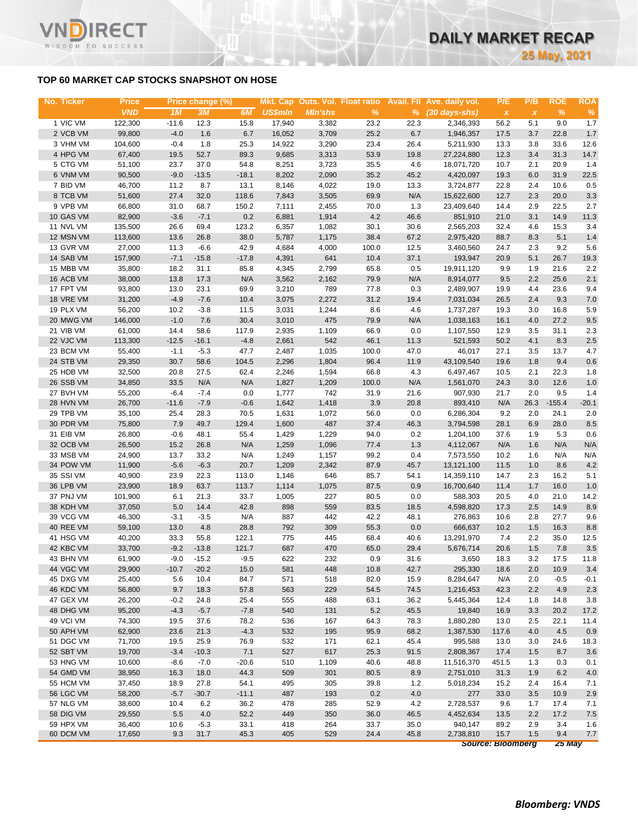## **TOP 60 MARKET CAP STOCKS SNAPSHOT ON HOSE**

Τ.

WISDOM TO SUCCESS

| No. Ticker             | <b>Price</b>     |              | Price change (%) |         |                |                |              |              | Mkt. Cap Outs. Vol. Float ratio Avail. Fll Ave. daily vol. | P/E           | P/B          | <b>ROE</b> | ROA         |
|------------------------|------------------|--------------|------------------|---------|----------------|----------------|--------------|--------------|------------------------------------------------------------|---------------|--------------|------------|-------------|
|                        | <b>VND</b>       | 1M           | 3M               | 6M      | <b>US\$mln</b> | <b>MIn'shs</b> | $\%$         |              | % (30 days-shs)                                            | $\pmb{\chi}$  | $\pmb{\chi}$ | $\%$       | %           |
| 1 VIC VM               | 122,300          | $-11.6$      | 12.3             | 15.8    | 17,940         | 3,382          | 23.2         | 22.3         | 2,346,393                                                  | 56.2          | 5.1          | 9.0        | 1.7         |
| 2 VCB VM               | 99,800           | $-4.0$       | 1.6              | 6.7     | 16,052         | 3,709          | 25.2         | 6.7          | 1,946,357                                                  | 17.5          | 3.7          | 22.8       | $1.7$       |
| 3 VHM VM               | 104,600          | $-0.4$       | 1.8              | 25.3    | 14,922         | 3,290          | 23.4         | 26.4         | 5,211,930                                                  | 13.3          | 3.8          | 33.6       | 12.6        |
| 4 HPG VM               | 67,400           | 19.5         | 52.7             | 89.3    | 9,685          | 3,313          | 53.9         | 19.8         | 27,224,880                                                 | 12.3          | 3.4          | 31.3       | 14.7        |
| 5 CTG VM               | 51,100           | 23.7         | 37.0             | 54.8    | 8,251          | 3,723          | 35.5         | 4.6          | 18,071,720                                                 | 10.7          | 2.1          | 20.9       | 1.4         |
| 6 VNM VM               | 90,500           | $-9.0$       | $-13.5$          | $-18.1$ | 8,202          | 2,090          | 35.2         | 45.2         | 4,420,097                                                  | 19.3          | 6.0          | 31.9       | 22.5        |
| 7 BID VM               | 46,700           | 11.2         | 8.7              | 13.1    | 8,146          | 4,022          | 19.0         | 13.3         | 3,724,877                                                  | 22.8          | 2.4          | 10.6       | 0.5         |
| 8 TCB VM               | 51,600           | 27.4         | 32.0             | 118.6   | 7,843          | 3,505          | 69.9         | N/A          | 15,622,600                                                 | 12.7          | 2.3          | 20.0       | 3.3         |
| 9 VPB VM               | 66,800           | 31.0         | 68.7             | 150.2   | 7,111          | 2,455          | 70.0         | 1.3          | 23,409,640                                                 | 14.4          | 2.9          | 22.5       | 2.7         |
| 10 GAS VM              | 82,900           | $-3.6$       | $-7.1$           | 0.2     | 6,881          | 1,914          | 4.2          | 46.6         | 851,910                                                    | 21.0          | 3.1          | 14.9       | 11.3        |
| 11 NVL VM              | 135,500          | 26.6         | 69.4             | 123.2   | 6,357          | 1,082          | 30.1         | 30.6         | 2,565,203                                                  | 32.4          | 4.6          | 15.3       | 3.4         |
| 12 MSN VM              | 113,600          | 13.6         | 26.8             | 38.0    | 5,787          | 1,175          | 38.4         | 67.2         | 2,975,420                                                  | 88.7          | 8.3          | 5.1        | 1.4         |
| 13 GVR VM              | 27,000           | 11.3         | $-6.6$           | 42.9    | 4,684          | 4,000          | 100.0        | 12.5         | 3,460,560                                                  | 24.7          | 2.3          | 9.2        | 5.6         |
| 14 SAB VM              | 157,900          | $-7.1$       | $-15.8$          | $-17.8$ | 4,391          | 641            | 10.4         | 37.1         | 193,947                                                    | 20.9          | 5.1          | 26.7       | 19.3        |
| 15 MBB VM              | 35,800           | 18.2         | 31.1             | 85.8    | 4,345          | 2,799          | 65.8         | 0.5          | 19,911,120                                                 | 9.9           | 1.9          | 21.6       | 2.2         |
| 16 ACB VM              | 38,000           | 13.8         | 17.3             | N/A     | 3,562          | 2,162          | 79.9         | N/A          | 8,914,077                                                  | 9.5           | 2.2          | 25.6       | 2.1         |
| 17 FPT VM              | 93,800           | 13.0         | 23.1             | 69.9    | 3,210          | 789            | 77.8         | 0.3          | 2,489,907                                                  | 19.9          | 4.4          | 23.6       | 9.4         |
| 18 VRE VM              | 31,200           | $-4.9$       | $-7.6$           | 10.4    | 3,075          | 2,272          | 31.2         | 19.4         | 7,031,034                                                  | 26.5          | 2.4          | 9.3        | $7.0$       |
| 19 PLX VM              | 56,200           | 10.2         | $-3.8$           | 11.5    | 3,031          | 1,244          | 8.6          | 4.6          | 1,737,287                                                  | 19.3          | 3.0          | 16.8       | 5.9         |
| 20 MWG VM              | 146,000          | $-1.0$       | 7.6              | 30.4    | 3,010          | 475            | 79.9         | N/A          | 1,038,163                                                  | 16.1          | 4.0          | 27.2       | 9.5         |
| 21 VIB VM              | 61,000           | 14.4         | 58.6             | 117.9   | 2,935          | 1,109          | 66.9         | 0.0          | 1,107,550                                                  | 12.9          | 3.5          | 31.1       | 2.3         |
| 22 VJC VM              | 113,300          | $-12.5$      | $-16.1$          | $-4.8$  | 2,661          | 542            | 46.1         | 11.3         | 521,593                                                    | 50.2          | 4.1          | 8.3        | 2.5         |
| 23 BCM VM              | 55,400           | $-1.1$       | $-5.3$           | 47.7    | 2,487          | 1,035          | 100.0        | 47.0         | 46,017                                                     | 27.1          | 3.5          | 13.7       | 4.7         |
| 24 STB VM              | 29,350           | 30.7         | 58.6             | 104.5   | 2,296          | 1,804          | 96.4         | 11.9         | 43,109,540                                                 | 19.6          | 1.8          | 9.4        | 0.6         |
| 25 HDB VM              | 32,500           | 20.8         | 27.5             | 62.4    | 2,246          | 1,594          | 66.8         | 4.3          | 6,497,467                                                  | 10.5          | 2.1          | 22.3       | 1.8         |
| 26 SSB VM              | 34,850           | 33.5         | N/A              | N/A     | 1,827          | 1,209          | 100.0        | N/A          | 1,561,070                                                  | 24.3          | 3.0          | 12.6       | 1.0         |
| 27 BVH VM              | 55,200           | $-6.4$       | $-7.4$           | 0.0     | 1,777          | 742            | 31.9         | 21.6         | 907,930                                                    | 21.7          | 2.0          | 9.5        | 1.4         |
| 28 HVN VM              | 26,700           | $-11.6$      | $-7.9$           | $-0.6$  | 1,642          | 1,418          | 3.9          | 20.8         | 893,410                                                    | N/A           | 26.3         | $-155.4$   | $-20.1$     |
| 29 TPB VM              | 35,100           | 25.4         | 28.3             | 70.5    | 1,631          | 1,072          | 56.0         | 0.0          | 6,286,304                                                  | 9.2           | 2.0          | 24.1       | 2.0         |
| 30 PDR VM              | 75,800           | 7.9          | 49.7             | 129.4   | 1,600          | 487            | 37.4         | 46.3         | 3,794,598                                                  | 28.1          | 6.9          | 28.0       | 8.5         |
| 31 EIB VM              | 26,800           | $-0.6$       | 48.1             | 55.4    | 1,429          | 1,229          | 94.0         | 0.2          | 1,204,100                                                  | 37.6          | 1.9          | 5.3        | 0.6         |
| 32 OCB VM              | 26,500           | 15.2         | 26.8             | N/A     | 1,259          | 1,096          | 77.4         | 1.3          | 4,112,067                                                  | N/A           | 1.6          | N/A        | N/A         |
| 33 MSB VM              | 24,900           | 13.7         | 33.2             | N/A     | 1,249          | 1,157          | 99.2         | 0.4          | 7,573,550                                                  | 10.2          | 1.6          | N/A        | N/A         |
| 34 POW VM              | 11,900           | $-5.6$       | $-6.3$           | 20.7    | 1,209          | 2,342          | 87.9         | 45.7         | 13,121,100                                                 | 11.5          | 1.0          | 8.6        | 4.2         |
| 35 SSI VM              | 40,900           | 23.9         | 22.3             | 113.0   | 1,146          | 646            | 85.7         | 54.1         | 14,359,110                                                 | 14.7          | 2.3          | 16.2       | 5.1         |
| 36 LPB VM              | 23,900           | 18.9         | 63.7             | 113.7   | 1,114          | 1,075          | 87.5         | 0.9          | 16,700,640                                                 | 11.4          | 1.7          | 16.0       | 1.0         |
| 37 PNJ VM              | 101,900          | 6.1          | 21.3             | 33.7    | 1,005          | 227            | 80.5         | 0.0          | 588,303                                                    | 20.5          | 4.0          | 21.0       | 14.2        |
| 38 KDH VM              | 37,050           | 5.0          | 14.4             | 42.8    | 898            | 559            | 83.5         | 18.5         | 4,598,820                                                  | 17.3          | 2.5          | 14.9       | 8.9         |
| 39 VCG VM              | 46,300           | $-3.1$       | $-3.5$           | N/A     | 887            | 442            | 42.2         | 48.1         | 276,863                                                    | 10.6          | 2.8          | 27.7       | 9.6         |
| 40 REE VM              | 59,100           | 13.0         | 4.8              | 28.8    | 792            | 309            | 55.3         | 0.0          | 666,637                                                    | 10.2          | 1.5          | 16.3       | 8.8         |
| 41 HSG VM              | 40,200           | 33.3         | 55.8             | 122.1   | 775            | 445            | 68.4         | 40.6         | 13,291,970                                                 | 7.4           | 2.2          | 35.0       | 12.5        |
| 42 KBC VM              | 33,700           | $-9.2$       | $-13.8$          | 121.7   | 687            | 470            | 65.0         | 29.4         | 5,676,714                                                  | 20.6          | 1.5          | 7.8        | 3.5         |
| 43 BHN VM              | 61,900           | $-9.0$       | $-15.2$          | $-9.5$  | 622            | 232            | 0.9          | 31.6         | 3,650                                                      | 18.3          | 3.2          | 17.5       | 11.8        |
| 44 VGC VM              | 29,900           | $-10.7$      | $-20.2$          | 15.0    | 581            | 448            | 10.8         | 42.7         | 295,330                                                    | 18.6          | 2.0          | 10.9       | 3.4         |
| 45 DXG VM              | 25,400           | 5.6          | 10.4             | 84.7    | 571            | 518            | 82.0         | 15.9         | 8,284,647                                                  | N/A           | 2.0          | $-0.5$     | $-0.1$      |
| 46 KDC VM              | 56,800           | 9.7          | 18.3             | 57.8    | 563            | 229            | 54.5         | 74.5         | 1,216,453                                                  | 42.3          | 2.2          | 4.9        | 2.3         |
| 47 GEX VM              | 26,200           | $-0.2$       | 24.8             | 25.4    | 555            | 488            | 63.1         | 36.2         | 5,445,364                                                  | 12.4          | 1.8          | 14.8       | 3.8         |
| 48 DHG VM              | 95,200           | $-4.3$       | $-5.7$           | $-7.8$  | 540            | 131            | 5.2          | 45.5         | 19,840                                                     | 16.9          | 3.3          | 20.2       | 17.2        |
| 49 VCI VM              | 74,300           | 19.5         | 37.6             | 78.2    | 536            | 167            | 64.3         | 78.3         | 1,880,280                                                  | 13.0          | 2.5          | 22.1       | 11.4        |
| 50 APH VM              |                  |              |                  | $-4.3$  | 532            |                |              |              |                                                            |               |              | 4.5        |             |
| 51 DGC VM              | 62,900<br>71,700 | 23.6<br>19.5 | 21.3<br>25.9     | 76.9    | 532            | 195<br>171     | 95.9<br>62.1 | 68.2<br>45.4 | 1,387,530<br>995,588                                       | 117.6<br>13.0 | 4.0<br>3.0   | 24.6       | 0.9<br>18.3 |
|                        |                  | $-3.4$       | $-10.3$          | 7.1     | 527            | 617            | 25.3         | 91.5         | 2,808,367                                                  | 17.4          | 1.5          | 8.7        |             |
| 52 SBT VM<br>53 HNG VM | 19,700<br>10,600 | $-8.6$       | $-7.0$           | $-20.6$ | 510            |                | 40.6         | 48.8         |                                                            | 451.5         | 1.3          | 0.3        | 3.6         |
|                        |                  |              |                  |         |                | 1,109          |              |              | 11,516,370                                                 |               |              |            | 0.1         |
| 54 GMD VM              | 38,950           | 16.3         | 18.0             | 44.3    | 509            | 301            | 80.5         | 8.9          | 2,751,010                                                  | 31.3          | 1.9          | 6.2        | 4.0         |
| 55 HCM VM              | 37,450           | 18.9         | 27.8             | 54.1    | 495            | 305            | 39.8         | 1.2          | 5,018,234                                                  | 15.2          | 2.4          | 16.4       | 7.1         |
| 56 LGC VM              | 58,200           | $-5.7$       | $-30.7$          | $-11.1$ | 487            | 193            | 0.2          | 4.0          | 277                                                        | 33.0          | 3.5          | 10.9       | 2.9         |
| 57 NLG VM              | 38,600           | 10.4         | 6.2              | 36.2    | 478            | 285            | 52.9         | 4.2          | 2,728,537                                                  | 9.6           | 1.7          | 17.4       | 7.1         |
| 58 DIG VM              | 29,550           | 5.5          | 4.0              | 52.2    | 449            | 350            | 36.0         | 46.5         | 4,452,634                                                  | 13.5          | 2.2          | 17.2       | 7.5         |
| 59 HPX VM              | 36,400           | 10.6         | $-5.3$           | 33.1    | 418            | 264<br>529     | 33.7<br>24.4 | 35.0         | 940,147                                                    | 89.2          | 2.9<br>1.5   | 3.4<br>9.4 | 1.6         |
| 60 DCM VM              | 17,650           | 9.3          | 31.7             | 45.3    | 405            |                |              | 45.8         | 2,738,810                                                  | 15.7          |              |            | 7.7         |

*Source: Bloomberg 25 May*